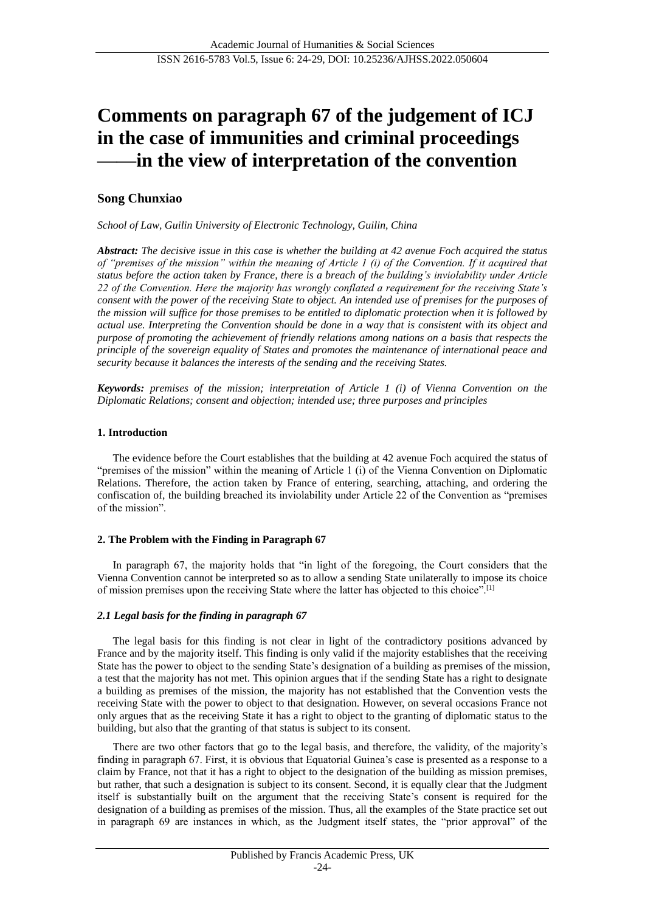# **Comments on paragraph 67 of the judgement of ICJ in the case of immunities and criminal proceedings ——in the view of interpretation of the convention**

## **Song Chunxiao**

*School of Law, Guilin University of Electronic Technology, Guilin, China*

*Abstract: The decisive issue in this case is whether the building at 42 avenue Foch acquired the status of "premises of the mission" within the meaning of Article 1 (i) of the Convention. If it acquired that status before the action taken by France, there is a breach of the building's inviolability under Article 22 of the Convention. Here the majority has wrongly conflated a requirement for the receiving State's consent with the power of the receiving State to object. An intended use of premises for the purposes of the mission will suffice for those premises to be entitled to diplomatic protection when it is followed by actual use. Interpreting the Convention should be done in a way that is consistent with its object and purpose of promoting the achievement of friendly relations among nations on a basis that respects the principle of the sovereign equality of States and promotes the maintenance of international peace and security because it balances the interests of the sending and the receiving States.*

*Keywords: premises of the mission; interpretation of Article 1 (i) of Vienna Convention on the Diplomatic Relations; consent and objection; intended use; three purposes and principles*

### **1. Introduction**

The evidence before the Court establishes that the building at 42 avenue Foch acquired the status of "premises of the mission" within the meaning of Article 1 (i) of the Vienna Convention on Diplomatic Relations. Therefore, the action taken by France of entering, searching, attaching, and ordering the confiscation of, the building breached its inviolability under Article 22 of the Convention as "premises of the mission".

## **2. The Problem with the Finding in Paragraph 67**

In paragraph 67, the majority holds that "in light of the foregoing, the Court considers that the Vienna Convention cannot be interpreted so as to allow a sending State unilaterally to impose its choice of mission premises upon the receiving State where the latter has objected to this choice".[1]

## *2.1 Legal basis for the finding in paragraph 67*

The legal basis for this finding is not clear in light of the contradictory positions advanced by France and by the majority itself. This finding is only valid if the majority establishes that the receiving State has the power to object to the sending State's designation of a building as premises of the mission, a test that the majority has not met. This opinion argues that if the sending State has a right to designate a building as premises of the mission, the majority has not established that the Convention vests the receiving State with the power to object to that designation. However, on several occasions France not only argues that as the receiving State it has a right to object to the granting of diplomatic status to the building, but also that the granting of that status is subject to its consent.

There are two other factors that go to the legal basis, and therefore, the validity, of the majority's finding in paragraph 67. First, it is obvious that Equatorial Guinea's case is presented as a response to a claim by France, not that it has a right to object to the designation of the building as mission premises, but rather, that such a designation is subject to its consent. Second, it is equally clear that the Judgment itself is substantially built on the argument that the receiving State's consent is required for the designation of a building as premises of the mission. Thus, all the examples of the State practice set out in paragraph 69 are instances in which, as the Judgment itself states, the "prior approval" of the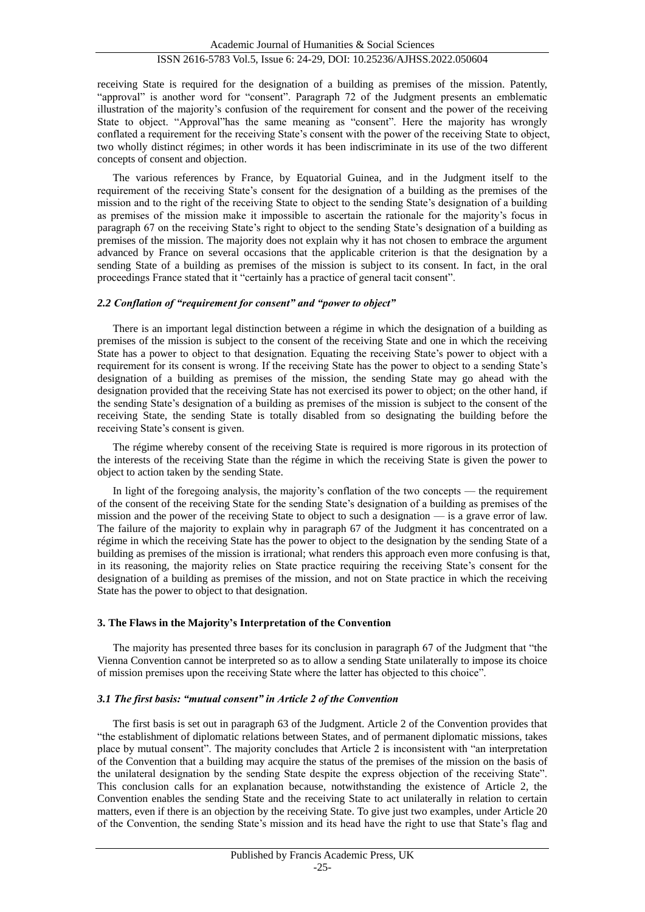#### receiving State is required for the designation of a building as premises of the mission. Patently, "approval" is another word for "consent". Paragraph 72 of the Judgment presents an emblematic illustration of the majority's confusion of the requirement for consent and the power of the receiving State to object. "Approval"has the same meaning as "consent". Here the majority has wrongly conflated a requirement for the receiving State's consent with the power of the receiving State to object, two wholly distinct régimes; in other words it has been indiscriminate in its use of the two different concepts of consent and objection.

The various references by France, by Equatorial Guinea, and in the Judgment itself to the requirement of the receiving State's consent for the designation of a building as the premises of the mission and to the right of the receiving State to object to the sending State's designation of a building as premises of the mission make it impossible to ascertain the rationale for the majority's focus in paragraph 67 on the receiving State's right to object to the sending State's designation of a building as premises of the mission. The majority does not explain why it has not chosen to embrace the argument advanced by France on several occasions that the applicable criterion is that the designation by a sending State of a building as premises of the mission is subject to its consent. In fact, in the oral proceedings France stated that it "certainly has a practice of general tacit consent".

#### *2.2 Conflation of "requirement for consent" and "power to object"*

There is an important legal distinction between a régime in which the designation of a building as premises of the mission is subject to the consent of the receiving State and one in which the receiving State has a power to object to that designation. Equating the receiving State's power to object with a requirement for its consent is wrong. If the receiving State has the power to object to a sending State's designation of a building as premises of the mission, the sending State may go ahead with the designation provided that the receiving State has not exercised its power to object; on the other hand, if the sending State's designation of a building as premises of the mission is subject to the consent of the receiving State, the sending State is totally disabled from so designating the building before the receiving State's consent is given.

The régime whereby consent of the receiving State is required is more rigorous in its protection of the interests of the receiving State than the régime in which the receiving State is given the power to object to action taken by the sending State.

In light of the foregoing analysis, the majority's conflation of the two concepts — the requirement of the consent of the receiving State for the sending State's designation of a building as premises of the mission and the power of the receiving State to object to such a designation — is a grave error of law. The failure of the majority to explain why in paragraph 67 of the Judgment it has concentrated on a régime in which the receiving State has the power to object to the designation by the sending State of a building as premises of the mission is irrational; what renders this approach even more confusing is that, in its reasoning, the majority relies on State practice requiring the receiving State's consent for the designation of a building as premises of the mission, and not on State practice in which the receiving State has the power to object to that designation.

#### **3. The Flaws in the Majority's Interpretation of the Convention**

The majority has presented three bases for its conclusion in paragraph 67 of the Judgment that "the Vienna Convention cannot be interpreted so as to allow a sending State unilaterally to impose its choice of mission premises upon the receiving State where the latter has objected to this choice".

#### *3.1 The first basis: "mutual consent" in Article 2 of the Convention*

The first basis is set out in paragraph 63 of the Judgment. Article 2 of the Convention provides that "the establishment of diplomatic relations between States, and of permanent diplomatic missions, takes place by mutual consent". The majority concludes that Article 2 is inconsistent with "an interpretation of the Convention that a building may acquire the status of the premises of the mission on the basis of the unilateral designation by the sending State despite the express objection of the receiving State". This conclusion calls for an explanation because, notwithstanding the existence of Article 2, the Convention enables the sending State and the receiving State to act unilaterally in relation to certain matters, even if there is an objection by the receiving State. To give just two examples, under Article 20 of the Convention, the sending State's mission and its head have the right to use that State's flag and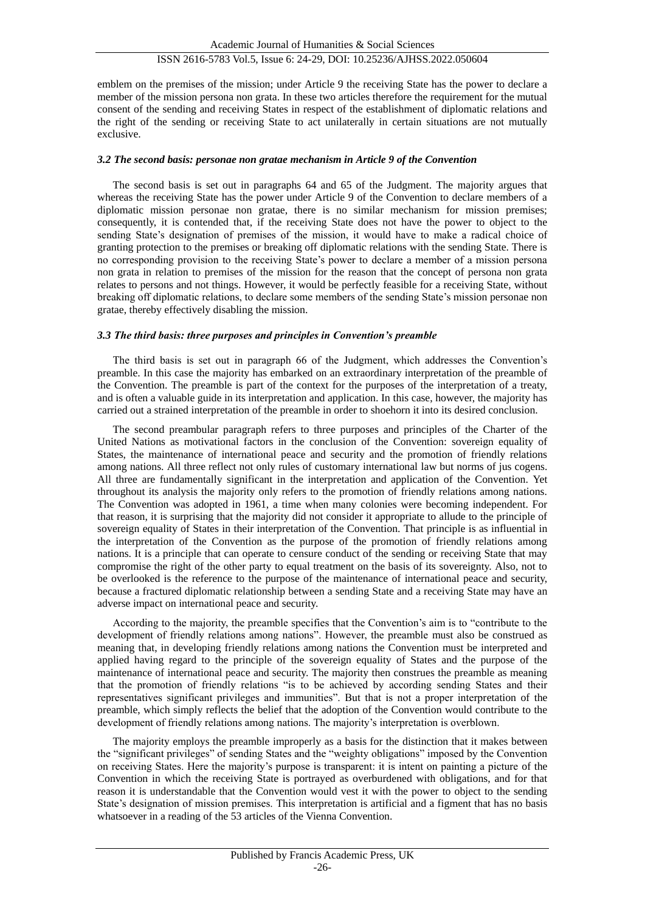emblem on the premises of the mission; under Article 9 the receiving State has the power to declare a member of the mission persona non grata. In these two articles therefore the requirement for the mutual consent of the sending and receiving States in respect of the establishment of diplomatic relations and the right of the sending or receiving State to act unilaterally in certain situations are not mutually exclusive.

#### *3.2 The second basis: personae non gratae mechanism in Article 9 of the Convention*

The second basis is set out in paragraphs 64 and 65 of the Judgment. The majority argues that whereas the receiving State has the power under Article 9 of the Convention to declare members of a diplomatic mission personae non gratae, there is no similar mechanism for mission premises; consequently, it is contended that, if the receiving State does not have the power to object to the sending State's designation of premises of the mission, it would have to make a radical choice of granting protection to the premises or breaking off diplomatic relations with the sending State. There is no corresponding provision to the receiving State's power to declare a member of a mission persona non grata in relation to premises of the mission for the reason that the concept of persona non grata relates to persons and not things. However, it would be perfectly feasible for a receiving State, without breaking off diplomatic relations, to declare some members of the sending State's mission personae non gratae, thereby effectively disabling the mission.

#### *3.3 The third basis: three purposes and principles in Convention's preamble*

The third basis is set out in paragraph 66 of the Judgment, which addresses the Convention's preamble. In this case the majority has embarked on an extraordinary interpretation of the preamble of the Convention. The preamble is part of the context for the purposes of the interpretation of a treaty, and is often a valuable guide in its interpretation and application. In this case, however, the majority has carried out a strained interpretation of the preamble in order to shoehorn it into its desired conclusion.

The second preambular paragraph refers to three purposes and principles of the Charter of the United Nations as motivational factors in the conclusion of the Convention: sovereign equality of States, the maintenance of international peace and security and the promotion of friendly relations among nations. All three reflect not only rules of customary international law but norms of jus cogens. All three are fundamentally significant in the interpretation and application of the Convention. Yet throughout its analysis the majority only refers to the promotion of friendly relations among nations. The Convention was adopted in 1961, a time when many colonies were becoming independent. For that reason, it is surprising that the majority did not consider it appropriate to allude to the principle of sovereign equality of States in their interpretation of the Convention. That principle is as influential in the interpretation of the Convention as the purpose of the promotion of friendly relations among nations. It is a principle that can operate to censure conduct of the sending or receiving State that may compromise the right of the other party to equal treatment on the basis of its sovereignty. Also, not to be overlooked is the reference to the purpose of the maintenance of international peace and security, because a fractured diplomatic relationship between a sending State and a receiving State may have an adverse impact on international peace and security.

According to the majority, the preamble specifies that the Convention's aim is to "contribute to the development of friendly relations among nations". However, the preamble must also be construed as meaning that, in developing friendly relations among nations the Convention must be interpreted and applied having regard to the principle of the sovereign equality of States and the purpose of the maintenance of international peace and security. The majority then construes the preamble as meaning that the promotion of friendly relations "is to be achieved by according sending States and their representatives significant privileges and immunities". But that is not a proper interpretation of the preamble, which simply reflects the belief that the adoption of the Convention would contribute to the development of friendly relations among nations. The majority's interpretation is overblown.

The majority employs the preamble improperly as a basis for the distinction that it makes between the "significant privileges" of sending States and the "weighty obligations" imposed by the Convention on receiving States. Here the majority's purpose is transparent: it is intent on painting a picture of the Convention in which the receiving State is portrayed as overburdened with obligations, and for that reason it is understandable that the Convention would vest it with the power to object to the sending State's designation of mission premises. This interpretation is artificial and a figment that has no basis whatsoever in a reading of the 53 articles of the Vienna Convention.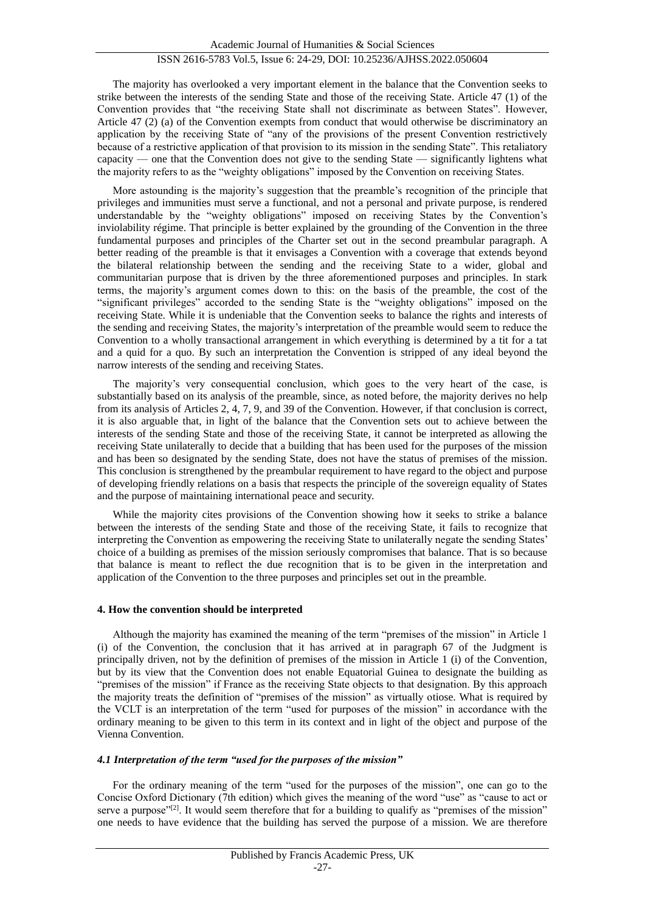The majority has overlooked a very important element in the balance that the Convention seeks to strike between the interests of the sending State and those of the receiving State. Article 47 (1) of the Convention provides that "the receiving State shall not discriminate as between States". However, Article 47 (2) (a) of the Convention exempts from conduct that would otherwise be discriminatory an application by the receiving State of "any of the provisions of the present Convention restrictively because of a restrictive application of that provision to its mission in the sending State". This retaliatory capacity — one that the Convention does not give to the sending State — significantly lightens what the majority refers to as the "weighty obligations" imposed by the Convention on receiving States.

More astounding is the majority's suggestion that the preamble's recognition of the principle that privileges and immunities must serve a functional, and not a personal and private purpose, is rendered understandable by the "weighty obligations" imposed on receiving States by the Convention's inviolability régime. That principle is better explained by the grounding of the Convention in the three fundamental purposes and principles of the Charter set out in the second preambular paragraph. A better reading of the preamble is that it envisages a Convention with a coverage that extends beyond the bilateral relationship between the sending and the receiving State to a wider, global and communitarian purpose that is driven by the three aforementioned purposes and principles. In stark terms, the majority's argument comes down to this: on the basis of the preamble, the cost of the "significant privileges" accorded to the sending State is the "weighty obligations" imposed on the receiving State. While it is undeniable that the Convention seeks to balance the rights and interests of the sending and receiving States, the majority's interpretation of the preamble would seem to reduce the Convention to a wholly transactional arrangement in which everything is determined by a tit for a tat and a quid for a quo. By such an interpretation the Convention is stripped of any ideal beyond the narrow interests of the sending and receiving States.

The majority's very consequential conclusion, which goes to the very heart of the case, is substantially based on its analysis of the preamble, since, as noted before, the majority derives no help from its analysis of Articles 2, 4, 7, 9, and 39 of the Convention. However, if that conclusion is correct, it is also arguable that, in light of the balance that the Convention sets out to achieve between the interests of the sending State and those of the receiving State, it cannot be interpreted as allowing the receiving State unilaterally to decide that a building that has been used for the purposes of the mission and has been so designated by the sending State, does not have the status of premises of the mission. This conclusion is strengthened by the preambular requirement to have regard to the object and purpose of developing friendly relations on a basis that respects the principle of the sovereign equality of States and the purpose of maintaining international peace and security.

While the majority cites provisions of the Convention showing how it seeks to strike a balance between the interests of the sending State and those of the receiving State, it fails to recognize that interpreting the Convention as empowering the receiving State to unilaterally negate the sending States' choice of a building as premises of the mission seriously compromises that balance. That is so because that balance is meant to reflect the due recognition that is to be given in the interpretation and application of the Convention to the three purposes and principles set out in the preamble.

#### **4. How the convention should be interpreted**

Although the majority has examined the meaning of the term "premises of the mission" in Article 1 (i) of the Convention, the conclusion that it has arrived at in paragraph 67 of the Judgment is principally driven, not by the definition of premises of the mission in Article 1 (i) of the Convention, but by its view that the Convention does not enable Equatorial Guinea to designate the building as "premises of the mission" if France as the receiving State objects to that designation. By this approach the majority treats the definition of "premises of the mission" as virtually otiose. What is required by the VCLT is an interpretation of the term "used for purposes of the mission" in accordance with the ordinary meaning to be given to this term in its context and in light of the object and purpose of the Vienna Convention.

## *4.1 Interpretation of the term "used for the purposes of the mission"*

For the ordinary meaning of the term "used for the purposes of the mission", one can go to the Concise Oxford Dictionary (7th edition) which gives the meaning of the word "use" as "cause to act or serve a purpose"<sup>[2]</sup>. It would seem therefore that for a building to qualify as "premises of the mission" one needs to have evidence that the building has served the purpose of a mission. We are therefore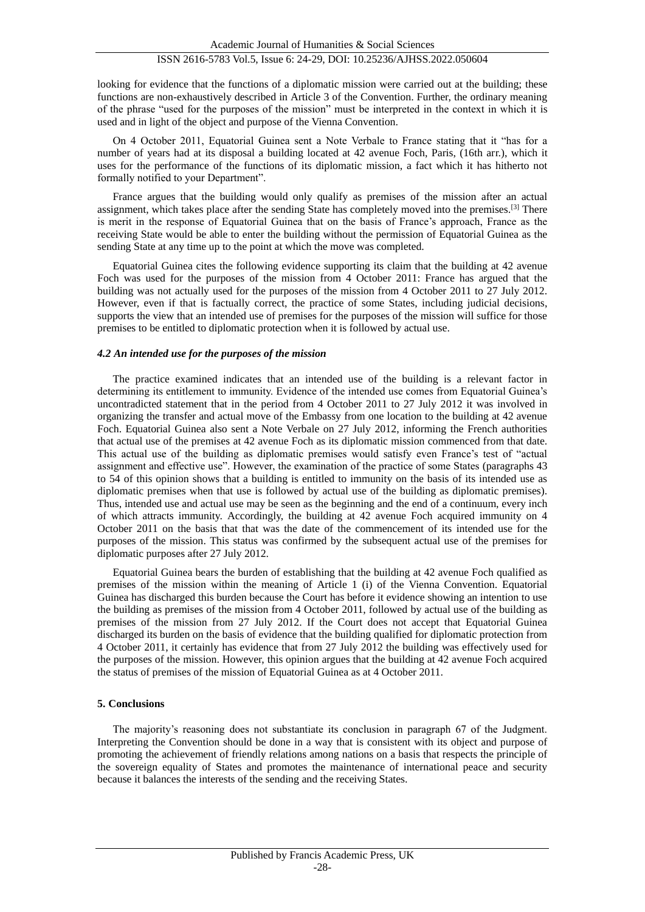looking for evidence that the functions of a diplomatic mission were carried out at the building; these functions are non-exhaustively described in Article 3 of the Convention. Further, the ordinary meaning of the phrase "used for the purposes of the mission" must be interpreted in the context in which it is used and in light of the object and purpose of the Vienna Convention.

On 4 October 2011, Equatorial Guinea sent a Note Verbale to France stating that it "has for a number of years had at its disposal a building located at 42 avenue Foch, Paris, (16th arr.), which it uses for the performance of the functions of its diplomatic mission, a fact which it has hitherto not formally notified to your Department".

France argues that the building would only qualify as premises of the mission after an actual assignment, which takes place after the sending State has completely moved into the premises.[3] There is merit in the response of Equatorial Guinea that on the basis of France's approach, France as the receiving State would be able to enter the building without the permission of Equatorial Guinea as the sending State at any time up to the point at which the move was completed.

Equatorial Guinea cites the following evidence supporting its claim that the building at 42 avenue Foch was used for the purposes of the mission from 4 October 2011: France has argued that the building was not actually used for the purposes of the mission from 4 October 2011 to 27 July 2012. However, even if that is factually correct, the practice of some States, including judicial decisions, supports the view that an intended use of premises for the purposes of the mission will suffice for those premises to be entitled to diplomatic protection when it is followed by actual use.

#### *4.2 An intended use for the purposes of the mission*

The practice examined indicates that an intended use of the building is a relevant factor in determining its entitlement to immunity. Evidence of the intended use comes from Equatorial Guinea's uncontradicted statement that in the period from 4 October 2011 to 27 July 2012 it was involved in organizing the transfer and actual move of the Embassy from one location to the building at 42 avenue Foch. Equatorial Guinea also sent a Note Verbale on 27 July 2012, informing the French authorities that actual use of the premises at 42 avenue Foch as its diplomatic mission commenced from that date. This actual use of the building as diplomatic premises would satisfy even France's test of "actual assignment and effective use". However, the examination of the practice of some States (paragraphs 43 to 54 of this opinion shows that a building is entitled to immunity on the basis of its intended use as diplomatic premises when that use is followed by actual use of the building as diplomatic premises). Thus, intended use and actual use may be seen as the beginning and the end of a continuum, every inch of which attracts immunity. Accordingly, the building at 42 avenue Foch acquired immunity on 4 October 2011 on the basis that that was the date of the commencement of its intended use for the purposes of the mission. This status was confirmed by the subsequent actual use of the premises for diplomatic purposes after 27 July 2012.

Equatorial Guinea bears the burden of establishing that the building at 42 avenue Foch qualified as premises of the mission within the meaning of Article 1 (i) of the Vienna Convention. Equatorial Guinea has discharged this burden because the Court has before it evidence showing an intention to use the building as premises of the mission from 4 October 2011, followed by actual use of the building as premises of the mission from 27 July 2012. If the Court does not accept that Equatorial Guinea discharged its burden on the basis of evidence that the building qualified for diplomatic protection from 4 October 2011, it certainly has evidence that from 27 July 2012 the building was effectively used for the purposes of the mission. However, this opinion argues that the building at 42 avenue Foch acquired the status of premises of the mission of Equatorial Guinea as at 4 October 2011.

#### **5. Conclusions**

The majority's reasoning does not substantiate its conclusion in paragraph 67 of the Judgment. Interpreting the Convention should be done in a way that is consistent with its object and purpose of promoting the achievement of friendly relations among nations on a basis that respects the principle of the sovereign equality of States and promotes the maintenance of international peace and security because it balances the interests of the sending and the receiving States.